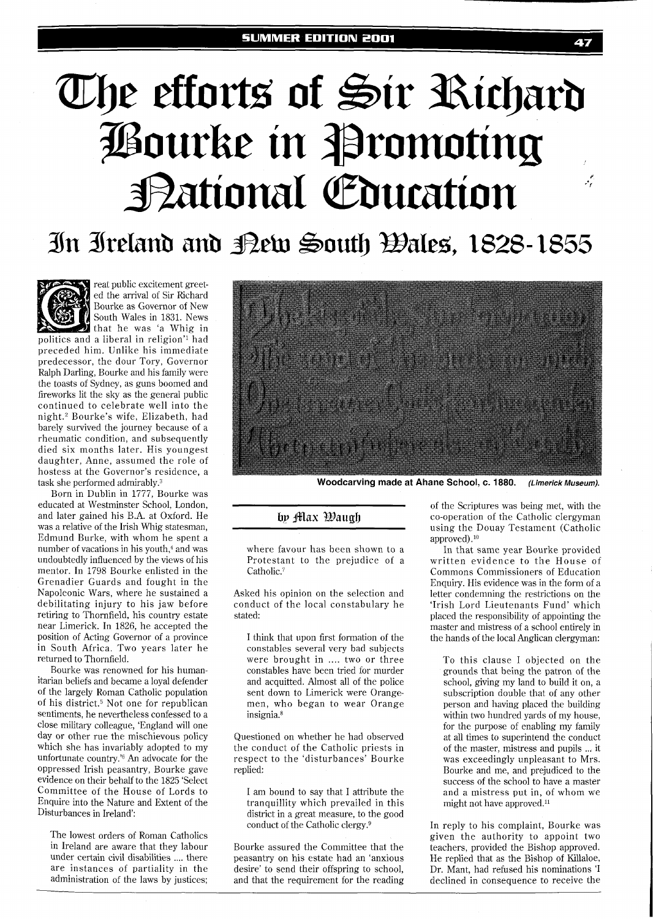# The efforts of Sir Richard **Pourke in Promoting** Bational Education  $\cdot$

## In Ireland and Bew South Bales, 1828-1855



reat public excitement greeted the arrival of Sir Richard Bourke as Governor of New Bourke as Governor of New<br>South Wales in 1831. News<br>politics and a liberal in religion<sup>71</sup> had South Wales in 1831. News  $\mathbf i$  that he was 'a Whig in breceded him. Unlike his immediate predecessor, the dour Tory, Governor Ralph Darling, Bourke and his family were the toasts of Sydney, as guns boomed and fireworks lit the sky as the general public continued to celebrate well into the night.<sup>2</sup> Bourke's wife, Elizabeth, had barely survived the journey because of a rheumatic condition, and subsequently died six months later. His youngest daughter, Anne, assumed the role of hostess at the Governor's residence, a task she performed admirably. $3$ 

Born in Dublin in 1777, Bourke was educated at Westminster School, London, and later gained his B.A. at Oxford. He was a relative of the Irish Whig statesman, Edmund Burke, with whom he spent a number of vacations in his youth.<sup>4</sup> and was undoubtedly influenced by the views of his mentor. In 1798 Bourke enlisted in the Grenadier Guards and fought in the Napoleonic Wars, where he sustained a debilitating injury to his jaw before retiring to Thornfield, his country estate near Limerick. In 1826, he accepted the position of Acting Governor of a province in South Africa. Two years later he returned to Thornfield.

Bourke was renowned for his humanitarian beliefs and became a loyal defender of the largely Roman Catholic population of his district.5 Not one for republican sentiments, he nevertheless confessed to a close military colleague, 'England will one day or other rue the mischievous policy which she has invariably adopted to my unfortunate country.'<sup>6</sup> An advocate for the oppressed Irish peasantry, Bourke gave evidence on their behalf to the 1825 'Select Committee of the House of Lords to Enquire into the Nature and Extent of the Disturbances in Ireland':

The lowest orders of Roman Catholics in Ireland are aware that they labour under certain civil disabilities .... there are instances of partiality in the administration of the laws by justices;



Woodcarving made at Ahane School, c. 1880. *(Limerick Museum).* 

#### by Max Waugh

where favour has been shown to a Protestant to the prejudice of a Catholic.<sup>7</sup>

Asked his opinion on the selection and conduct of the local constabulary he stated:

I think that upon first formation of the constables several very bad subjects were brought in .... two or three constables have been tried for murder and acquitted. Almost all of the police sent down to Limerick were Orangemen, who began to wear Orange insignia.<sup>8</sup>

Questioned on whether he had observed the conduct of the Catholic priests in respect to the 'disturbances' Bourke replied:

I am bound to say that I attribute the tranquillity which prevailed in this district in a great measure, to the good conduct of the Catholic clergy.<sup>9</sup>

Bourke assured the Committee that the peasantry on his estate had an 'anxious desire' to send their offspring to school, and that the requirement for the reading

of the Scriptures was being met, with the co-operation of the Catholic clergyman using the Douay Testament (Catholic approved).<sup>10</sup>

In that same year Bourke provided written evidence to the House of Commons Commissioners of Education Enquiry. His evidence was in the form of a letter condemning the restrictions on the 'Irish Lord Lieutenants Fund' which placed the responsibility of appointing the master and mistress of a school entirely in the hands of the local Anglican clergyman:

To this clause I objected on the grounds that being the patron of the school, giving my land to build it on, a subscription double that of any other person and having placed the building within two hundred yards of my house, for the purpose of enabling my family at all times to superintend the conduct of the master, mistress and pupils ... it was exceedingly unpleasant to Mrs. Bourke and me, and prejudiced to the success of the school to have a master and a mistress put in, of whom we might not have approved.<sup>11</sup>

In reply to his complaint, Bourke was given the authority to appoint two teachers, provided the Bishop approved. He replied that as the Bishop of Killaloe, Dr. Mant, had refused his nominations 'I declined in consequence to receive the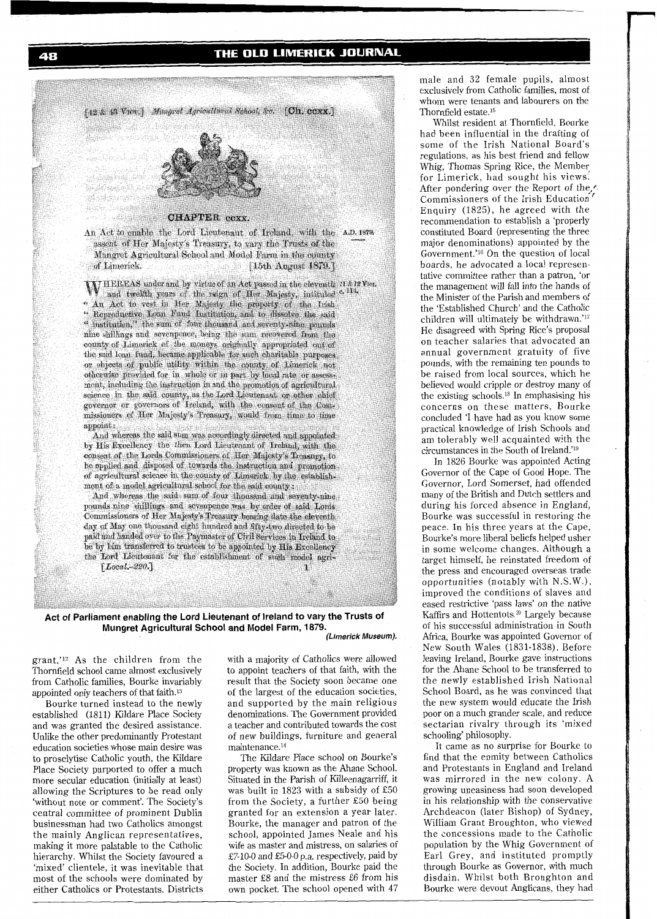### THE OLD LIMERICK JOURNAL



grant.'12 As the children from the Thornfield school came almost exclusively from Catholic families, Bourke invariably appointed only teachers of that faith.13

Bourke turned instead to the newly established (1811) Kildare Place Society and was granted the desired assistance. Unlike the other predominantly Protestant education societies whose main desire was to proselytise Catholic youth, the Kildare Place Society purported to offer a much more secular education (initially at least) allowing the Scriptures to be read only 'without note or comment'. The Society's central committee of prominent Dublin businessman had two Catholics amongst the mainly Anglican representatives, making it more palatable to the Catholic hierarchy. Whilst the Society favoured a 'mixed' clientele, it was inevitable that most of the schools were dominated by either Catholics or Protestants. Districts with a majority of Catholics were allowed to appoint teachers of that faith, with the result that the Society soon became one of the largest of the education societies, and supported by the main religious denominations. The Government provided a teacher and contributed towards the cost of new buildings, furniture and general maintenance.14

The Kildare Place school on Bourke's property was known as the Ahane School. Situated in the Parish of Killeenagarriff, it was built in 1823 with a subsidy of E50 from the Society, a further E50 being granted for an extension a year later. Bourke, the manager and patron of the school, appointed James Neale and his wife as master and mistress, on salaries of £7-10-0 and £5-0-0 p.a. respectively, paid by the Society. In addition, Bourke paid the master E8 and the mistress E6 from his own pocket. The school opened with 47 male and 32 female pupils, almost exclusively from Catholic families, most of whom were tenants and labourers on the Thornfield estate.15

Whilst resident at Thornfield, Bourke had been influential in the drafting of some of the Irish National Board's regulations, as his best friend and fellow Whig, Thomas Spring Rice, the Member for Limerick, had sought his views. Mer pondering over the Report of the...<br>After pondering over the Report of the... Enquiry (1825), he agreed with the recommendation to establish a 'properly constituted Board (representing the three major denominations) appointed by the Government.'<sup>16</sup> On the question of local boards, he advocated a local representative committee rather than a patron, 'or the management will fall into the hands of the Minister of the Parish and members of the 'Established Church' and the Catholic children will ultimately be withdrawn.'17 He disagreed with Spring Rice's proposal on teacher salaries that advocated an annual government gratuity of five pounds, with the remaining ten pounds to be raised from local sources, which he believed would cripple or destroy many of the existing schools.18 In emphasising his concerns on these matters, Bourke concluded 'I have had as you know some practical knowledge of Irish Schools and am tolerably well acquainted with the circumstances in the South of Ireland.'<sup>19</sup>

In 1826 Bourke was appointed Acting Governor of the Cape of Good Hope. The Governor, Lord Somerset, had offended many of the British and Dutch settlers and during his forced absence in England, Bourke was successful in restoring the peace. In his three years at the Cape, Bourke's more liberal beliefs helped usher in some welcome changes. Although a target himself, he reinstated freedom of the press and encouraged overseas trade opportunities (notably with N.S.W.), improved the conditions of slaves and eased restrictive 'pass laws' on the native Kaffirs and Hottentots.<sup>20</sup> Largely because of his successful administration in South Africa, Bourke was appointed Governor of New South Wales (1831-1838). Before leaving Ireland, Bourke gave instructions for the Ahane School to be transferred to the newly established Irish National School Board, as he was convinced that the new system would educate the Irish poor on a much grander scale, and reduce sectarian rivalry through its 'mixed schooling' philosophy.

It came as no surprise for Bourke to find that the enmity between Catholics and Protestants in England and Ireland was mirrored in the new colony. A growing uneasiness had soon developed in his relationship with the conservative Archdeacon (later Bishop) of Sydney, William Grant Broughton, who viewed the concessions made to the Catholic population by the Whig Government of Earl Grey, and instituted promptly through Bourke as Governor, with much disdain. Whilst both Broughton and Bourke were devout Anglicans, they had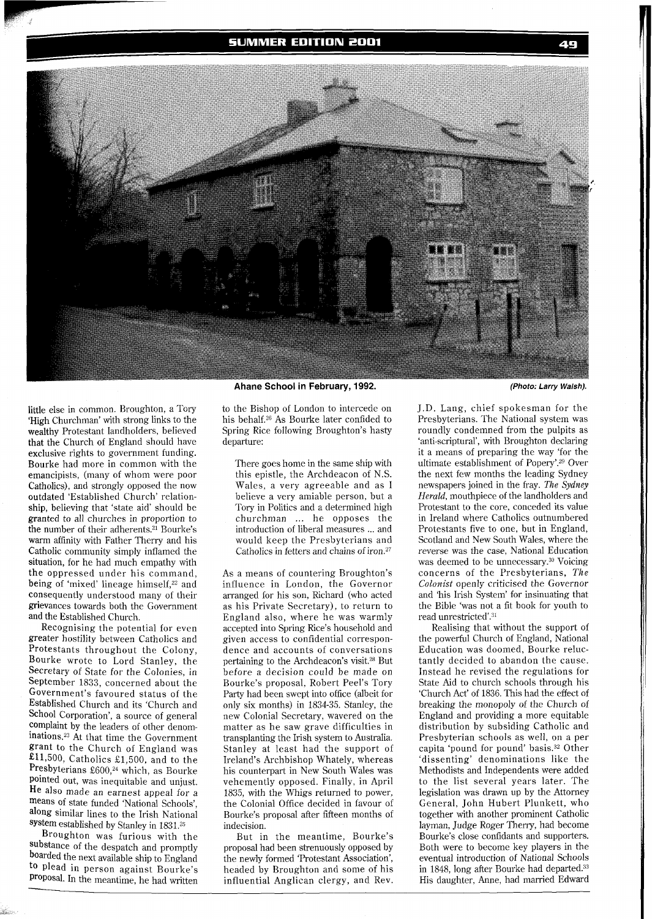**SUMMER EDITION 2001** 



Ahane School in February, 1992.

little else in common. Broughton, a Tory 'High Churchman' with strong links to the wealthy Protestant landholders, believed that the Church of England should have exclusive rights to government funding. Bourke had more in common with the emancipists, (many of whom were poor Catholics), and strongly opposed the now outdated 'Established Church' relationship, believing that 'state aid' should be granted to all churches in proportion to the number of their adherents.<sup>21</sup> Bourke's warm affinity with Father Therry and his Catholic community simply inflamed the situation, for he had much empathy with the oppressed under his command, being of 'mixed' lineage himself,<sup>22</sup> and consequently understood many of their grievances towards both the Government and the Established Church.

Recognising the potential for even greater hostility between Catholics and Protestants throughout the Colony, Bourke wrote to Lord Stanley, the Secretary of State for the Colonies, in September 1833, concerned about the Government's favoured status of the Established Church and its 'Church and School Corporation', a source of general complaint by the leaders of other denominatiom23 At that time the Government grant to the Church of England was £11,500, Catholics £1,500, and to the Presbyterians £600,<sup>24</sup> which, as Bourke pointed out, was inequitable and unjust. He also made an earnest appeal for a means of state funded 'National Schools', along similar lines to the Irish National System established by Stanley in 183L25

Broughton was furious with the substance of the despatch and promptly boarded the next available ship to England to plead in person against Bourke's proposal. In the meantime, he had written

to the Bishop of London to intercede on his behalf.26 As Bourke later confided to Spring Rice following Broughton's hasty departure:

There goes home in the same ship with this epistle, the Archdeacon of N.S. Wales, a very agreeable and as I believe a very amiable person, but a Tory in Politics and a determined high churchman ... he opposes the introduction of liberal measures ... and would keep the Presbyterians and Catholics in fetters and chains of iron.<sup>27</sup>

As a means of countering Broughton's influence in London, the Governor arranged for his son, Richard (who acted as his Private Secretary), to return to England also, where he was warmly accepted into Spring Rice's household and given access to confidential correspondence and accounts of conversations pertaining to the Archdeacon's visit.28 But before a decision could be made on Bourke's proposal, Robert Peel's Tory Party had been swept into office (albeit for only six months) in 1834-35. Stanley, the new Colonial Secretary, wavered on the matter as he saw grave difficulties in transplanting the Irish system to Australia. Stanley at least had the support of Ireland's Archbishop Whately, whereas his counterpart in New South Wales was vehemently opposed. Finally, in April 1835, with the Whigs returned to power, the Colonial Office decided in favour of Bourke's proposal after fifteen months of indecision.

But in the meantime, Bourke's proposal had been strenuously opposed by the newly formed 'Protestant Association', headed by Broughton and some of his influential Anglican clergy, and Rev.

J.D. Lang, chief spokesman for the Presbyterians. The National system was roundly condemned from the pulpits as 'anti-scriptural', with Broughton declaring it a means of preparing the way 'for the ultimate establishment of Popery'.29 Over the next few months the leading Sydney newspapers joined in the fray. *The Sydney Herald,* mouthpiece of the landholders and Protestant to the core, conceded its value in Ireland where Catholics outnumbered Protestants five to one, but in England, Scotland and New South Wales, where the reverse was the case, National Education was deemed to be unnecessary. $30$  Voicing concerns of the Presbyterians, *The Colonist* openly criticised the Governor and 'his Irish System' for insinuating that the Bible 'was not a fit book for youth to read unrestricted'.<sup>31</sup>

49

Realising that without the support of the powerful Church of England, National Education was doomed, Bourke reluctantly decided to abandon the cause. Instead he revised the regulations for State Aid to church schools through his 'Church Act' of 1836. This had the effect of breaking the monopoly of the Church of England and providing a more equitable distribution by subsiding Catholic and Presbyterian schools as well, on a per capita 'pound for pound' basis.<sup>32</sup> Other 'dissenting' denominations like the Methodists and Independents were added to the list several years later. The legislation was drawn up by the Attorney General, John Hubert Plunkett, who together with another prominent Catholic layman, Judge Roger Therry, had become Bourke's close confidants and supporters. Both were to become key players in the eventual introduction of National Schools in 1848, long after Eourke had departed.33 His daughter, Anne, had married Edward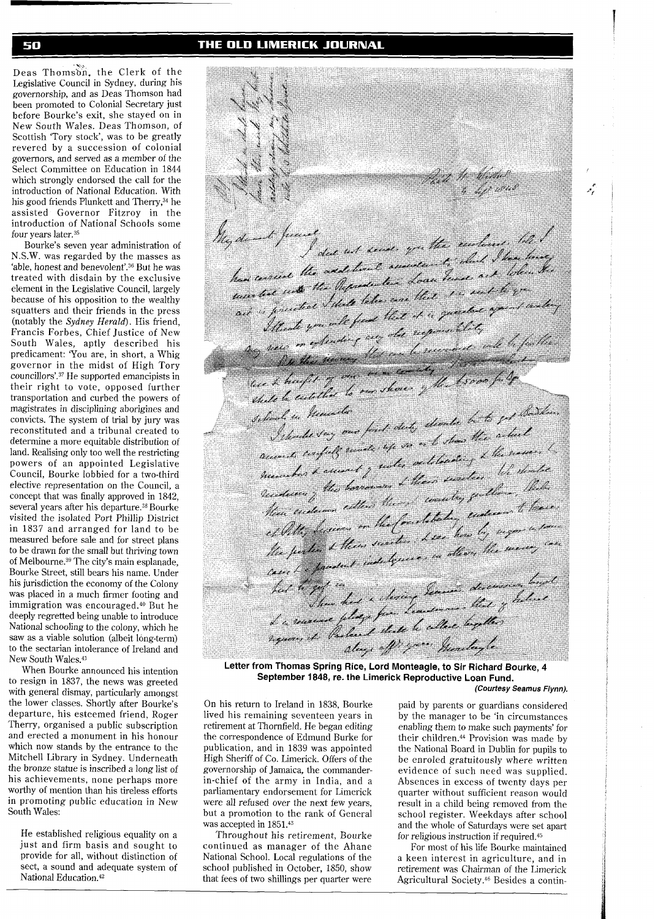#### THE OLD LIMERICK JOURNAL

Deas Thomson, the Clerk of the Legislative Council in Sydney, during his governorship, and as Deas Thomson had been promoted to Colonial Secretary just before Bourke's exit, she stayed on in New South Wales. Deas Thomson, of Scottish 'Tory stock', was to be greatly revered by a succession of colonial governors, and served as a member of the Select Committee on Education in 1844 which strongly endorsed the call for the introduction of National Education. With his good friends Plunkett and Therry,<sup>34</sup> he assisted Governor Fitzroy in the introduction of National Schools some four years later.<sup>35</sup>

Bourke's seven year administration of N.S.W. was regarded by the masses as 'able, honest and benevolent'.<sup>36</sup> But he was treated with disdain by the exclusive element in the Legislative Council, largely because of his opposition to the wealthy squatters and their friends in the press (notably the Sydney Herald). His friend, Francis Forbes, Chief Justice of New South Wales, aptly described his predicament: 'You are, in short, a Whig governor in the midst of High Tory councillors'.37 He supported emancipists in their right to vote, opposed further transportation and curbed the powers of magistrates in disciplining aborigines and convicts. The system of trial by jury was reconstituted and a tribunal created to determine a more equitable distribution of land. Realising only too well the restricting powers of an appointed Legislative Council, Bourke lobbied for a two-third elective representation on the Council, a concept that was finally approved in 1842, several years after his departure.38 Bourke visited the isolated Port Phillip District in 1837 and arranged for land to be measured before sale and for street plans to be drawn for the small but thriving town of Melbourne.<sup>39</sup> The city's main esplanade, Bourke Street, still bears his name. Under his jurisdiction the economy of the Colony was placed in a much firmer footing and immigration was encouraged.<sup>40</sup> But he deeply regretted being unable to introduce National schooling to the colony, which he saw as a viable solution (albeit long-term) to the sectarian intolerance of Ireland and New South Wales.41

When Bourke announced his intention to resign in 1837, the news was greeted with general dismay, particularly amongst the lower classes. Shortly after Bourke's departure, his esteemed friend, Roger Therry, organised a public subscription and erected a monument in his honour which now stands by the entrance to the Mitchell Library in Sydney. Underneath the bronze statue is inscribed a long list of his achievements, none perhaps more worthy of mention than his tireless efforts in promoting public education in New South Wales:

He established religious equality on a just and firm basis and sought to provide for all, without distinction of sect, a sound and adequate system of National Education.42

Parte 1 Willes My donat precise<br>In donate freeze and sense, you they excluded the has concert the addition to assessme the exertions of the house han correct the addetion americant, that I have the had cerecal into the Representant Loan trust and to green fil une that the later case that the sent is of antaged it is president that that it is quested your land lice & health of our new country the Asons fully silver li hencelo I thould say one find duty should be a head reconst. confull work up so a to show the assumer to mentan , the borrows L'herr surden time, then hien enderson extens there were tog former to have chille, besiers on the fourthbeter, under a former chility recount them succeeded . Lear how by magnetic case<br>the perter & them succeeding the merry case<br>come has product indulgence in other the merry cause to get in the a choice former descended longel dent men your montagle.

**Letter from Thomas Spring Rice, Lord Monteagle, to Sir Richard Bourke, 4 September 1848, re. the Limerick Reproductive Loan Fund. (Courtesy Seamus Flynn).** 

On his return to Ireland in 1838, Bourke paid by parents or guardians considered lived his remaining seventeen years in by the manager to be 'in circumstances lived his remaining seventeen years in by the manager to be 'in circumstances retirement at Thornfield. He began editing enabling them to make such payments' for retirement at Thornfield. He began editing enabling them to make such payments' for<br>the correspondence of Edmund Burke for their children.<sup>44</sup> Provision was made by the correspondence of Edmund Burke for their children.<sup>44</sup> Provision was made by publication, and in 1839 was appointed the National Board in Dublin for pupils to publication, and in 1839 was appointed the National Board in Dublin for pupils to High Sheriff of Co. Limerick. Offers of the the enroled gratuitously where written High Sheriff of Co. Limerick. Offers of the be enroled gratuitously where written governorship of Jamaica, the commander-<br>evidence of such need was supplied governorship of Jamaica, the commander-<br>in-chief of the army in India, and a Absences in excess of twenty days per in-chief of the army in India, and a Absences in excess of twenty days per parliamentary endorsement for Limerick quarter without sufficient reason would parliamentary endorsement for Limerick quarter without sufficient reason would were all refused over the next few years, result in a child being removed from the were all refused over the next few years, result in a child being removed from the but a promotion to the rank of General school register. Weekdays after school

Throughout his retirement, Bourke for religious instruction if required.<sup>45</sup><br>continued as manager of the Ahane For most of his life Bourke main continued as manager of the Ahane For most of his life Bourke maintained<br>National School. Local regulations of the a keen interest in agriculture, and in

but a promotion to the rank of General school register. Weekdays after school was accepted in 1851.<sup>43</sup> and the whole of Saturdays were set apart s accepted in 1851.<sup>43</sup> and the whole of Saturdays were set apart<br>Throughout his retirement, Bourke for religious instruction if required.<sup>45</sup> تنموه

National School. Local regulations of the a keen interest in agriculture, and in school published in October, 1850, show retirement was Chairman of the Limerick retirement was Chairman of the Limerick that fees of two shillings per quarter were Agricultural Society.46 Besides a contin-